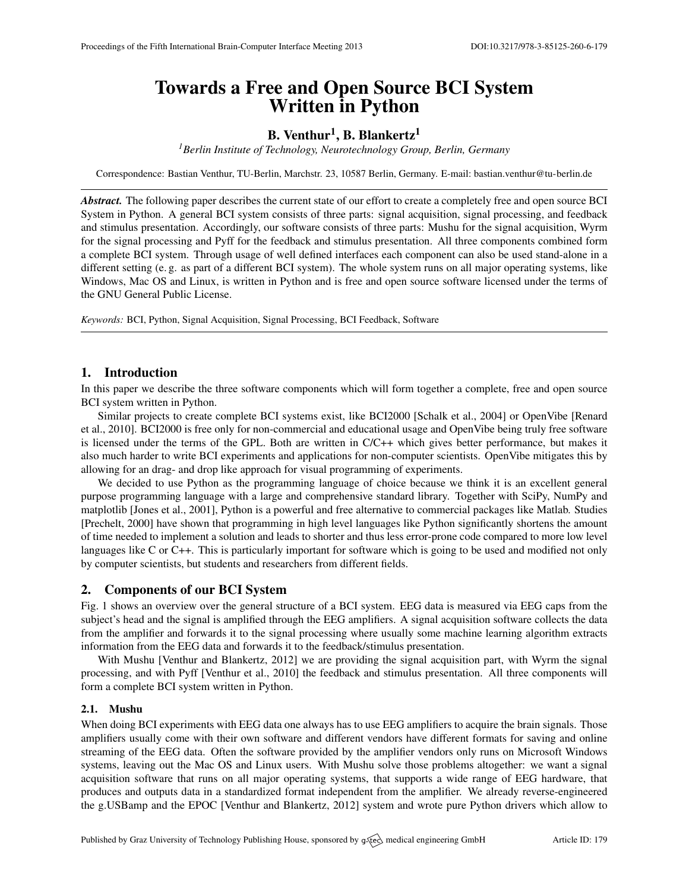# Towards a Free and Open Source BCI System Written in Python

# B. Venthur $^1,$  B. Blankertz $^1$

*<sup>1</sup>Berlin Institute of Technology, Neurotechnology Group, Berlin, Germany*

Correspondence: Bastian Venthur, TU-Berlin, Marchstr. 23, 10587 Berlin, Germany. E-mail: [bastian.venthur@tu-berlin.de](mailto:bastian.venthur@tu-berlin.de)

*Abstract.* The following paper describes the current state of our effort to create a completely free and open source BCI System in Python. A general BCI system consists of three parts: signal acquisition, signal processing, and feedback and stimulus presentation. Accordingly, our software consists of three parts: Mushu for the signal acquisition, Wyrm for the signal processing and Pyff for the feedback and stimulus presentation. All three components combined form a complete BCI system. Through usage of well defined interfaces each component can also be used stand-alone in a different setting (e. g. as part of a different BCI system). The whole system runs on all major operating systems, like Windows, Mac OS and Linux, is written in Python and is free and open source software licensed under the terms of the GNU General Public License.

*Keywords:* BCI, Python, Signal Acquisition, Signal Processing, BCI Feedback, Software

# 1. Introduction

In this paper we describe the three software components which will form together a complete, free and open source BCI system written in Python.

Similar projects to create complete BCI systems exist, like BCI2000 [\[Schalk et al.,](#page-1-0) [2004\]](#page-1-0) or OpenVibe [\[Renard](#page-1-1) [et al.,](#page-1-1) [2010\]](#page-1-1). BCI2000 is free only for non-commercial and educational usage and OpenVibe being truly free software is licensed under the terms of the GPL. Both are written in C/C++ which gives better performance, but makes it also much harder to write BCI experiments and applications for non-computer scientists. OpenVibe mitigates this by allowing for an drag- and drop like approach for visual programming of experiments.

We decided to use Python as the programming language of choice because we think it is an excellent general purpose programming language with a large and comprehensive standard library. Together with SciPy, NumPy and matplotlib [\[Jones et al.,](#page-1-2) [2001\]](#page-1-2), Python is a powerful and free alternative to commercial packages like Matlab. Studies [\[Prechelt,](#page-1-3) [2000\]](#page-1-3) have shown that programming in high level languages like Python significantly shortens the amount of time needed to implement a solution and leads to shorter and thus less error-prone code compared to more low level languages like C or C++. This is particularly important for software which is going to be used and modified not only by computer scientists, but students and researchers from different fields.

# 2. Components of our BCI System

Fig. [1](#page-1-4) shows an overview over the general structure of a BCI system. EEG data is measured via EEG caps from the subject's head and the signal is amplified through the EEG amplifiers. A signal acquisition software collects the data from the amplifier and forwards it to the signal processing where usually some machine learning algorithm extracts information from the EEG data and forwards it to the feedback/stimulus presentation.

With Mushu [\[Venthur and Blankertz,](#page-1-5) [2012\]](#page-1-5) we are providing the signal acquisition part, with Wyrm the signal processing, and with Pyff [\[Venthur et al.,](#page-1-6) [2010\]](#page-1-6) the feedback and stimulus presentation. All three components will form a complete BCI system written in Python.

#### 2.1. Mushu

When doing BCI experiments with EEG data one always has to use EEG amplifiers to acquire the brain signals. Those amplifiers usually come with their own software and different vendors have different formats for saving and online streaming of the EEG data. Often the software provided by the amplifier vendors only runs on Microsoft Windows systems, leaving out the Mac OS and Linux users. With Mushu solve those problems altogether: we want a signal acquisition software that runs on all major operating systems, that supports a wide range of EEG hardware, that produces and outputs data in a standardized format independent from the amplifier. We already reverse-engineered the g.USBamp and the EPOC [\[Venthur and Blankertz,](#page-1-5) [2012\]](#page-1-5) system and wrote pure Python drivers which allow to